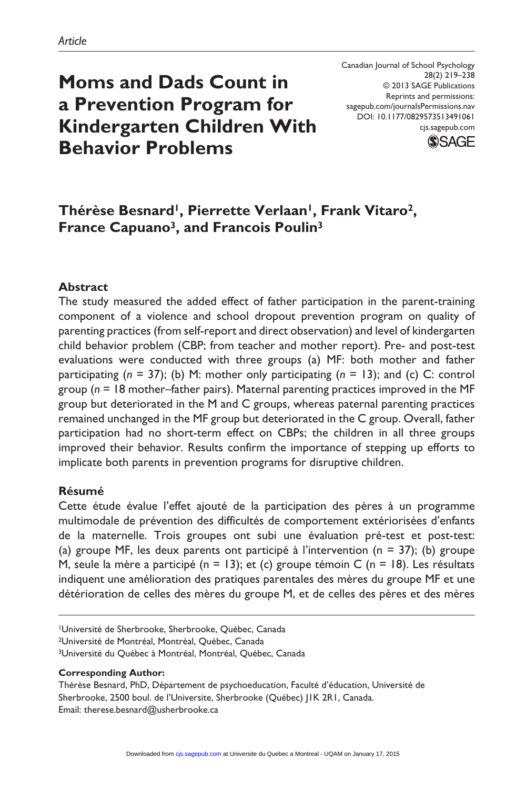# **Moms and Dads Count in a Prevention Program for Kindergarten Children With Behavior Problems**

Canadian Journal of School Psychology 28(2) 219–238 © 2013 SAGE Publications Reprints and permissions: sagepub.com/journalsPermissions.nav DOI: 10.1177/0829573513491061 cjs.sagepub.com



# Thérèse Besnard<sup>1</sup>, Pierrette Verlaan<sup>1</sup>, Frank Vitaro<sup>2</sup>, **France Capuano3, and Francois Poulin3**

#### **Abstract**

The study measured the added effect of father participation in the parent-training component of a violence and school dropout prevention program on quality of parenting practices (from self-report and direct observation) and level of kindergarten child behavior problem (CBP; from teacher and mother report). Pre- and post-test evaluations were conducted with three groups (a) MF: both mother and father participating (*n* = 37); (b) M: mother only participating (*n* = 13); and (c) C: control group (*n* = 18 mother–father pairs). Maternal parenting practices improved in the MF group but deteriorated in the M and C groups, whereas paternal parenting practices remained unchanged in the MF group but deteriorated in the C group. Overall, father participation had no short-term effect on CBPs; the children in all three groups improved their behavior. Results confirm the importance of stepping up efforts to implicate both parents in prevention programs for disruptive children.

#### **Résumé**

Cette étude évalue l'effet ajouté de la participation des pères à un programme multimodale de prévention des difficultés de comportement extériorisées d'enfants de la maternelle. Trois groupes ont subi une évaluation pré-test et post-test: (a) groupe MF, les deux parents ont participé à l'intervention ( $n = 37$ ); (b) groupe M, seule la mère a participé  $(n = 13)$ ; et (c) groupe témoin C  $(n = 18)$ . Les résultats indiquent une amélioration des pratiques parentales des mères du groupe MF et une détérioration de celles des mères du groupe M, et de celles des pères et des mères

**Corresponding Author:**

<sup>1</sup>Université de Sherbrooke, Sherbrooke, Québec, Canada

<sup>2</sup>Université de Montréal, Montréal, Québec, Canada

<sup>3</sup>Université du Québec à Montréal, Montréal, Québec, Canada

Thérèse Besnard, PhD, Département de psychoeducation, Faculté d'éducation, Université de Sherbrooke, 2500 boul. de l'Universite, Sherbrooke (Québec) J1K 2R1, Canada. Email: therese.besnard@usherbrooke.ca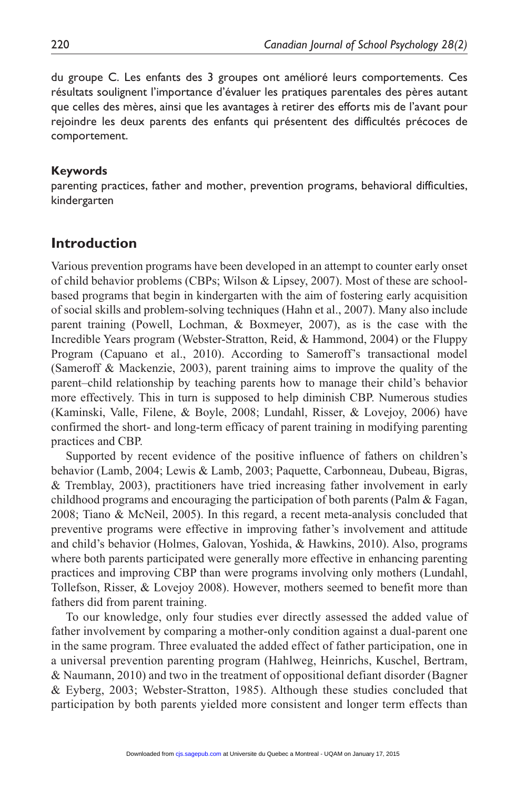du groupe C. Les enfants des 3 groupes ont amélioré leurs comportements. Ces résultats soulignent l'importance d'évaluer les pratiques parentales des pères autant que celles des mères, ainsi que les avantages à retirer des efforts mis de l'avant pour rejoindre les deux parents des enfants qui présentent des difficultés précoces de comportement.

#### **Keywords**

parenting practices, father and mother, prevention programs, behavioral difficulties, kindergarten

### **Introduction**

Various prevention programs have been developed in an attempt to counter early onset of child behavior problems (CBPs; Wilson & Lipsey, 2007). Most of these are schoolbased programs that begin in kindergarten with the aim of fostering early acquisition of social skills and problem-solving techniques (Hahn et al., 2007). Many also include parent training (Powell, Lochman, & Boxmeyer, 2007), as is the case with the Incredible Years program (Webster-Stratton, Reid, & Hammond, 2004) or the Fluppy Program (Capuano et al., 2010). According to Sameroff's transactional model (Sameroff & Mackenzie, 2003), parent training aims to improve the quality of the parent–child relationship by teaching parents how to manage their child's behavior more effectively. This in turn is supposed to help diminish CBP. Numerous studies (Kaminski, Valle, Filene, & Boyle, 2008; Lundahl, Risser, & Lovejoy, 2006) have confirmed the short- and long-term efficacy of parent training in modifying parenting practices and CBP.

Supported by recent evidence of the positive influence of fathers on children's behavior (Lamb, 2004; Lewis & Lamb, 2003; Paquette, Carbonneau, Dubeau, Bigras, & Tremblay, 2003), practitioners have tried increasing father involvement in early childhood programs and encouraging the participation of both parents (Palm & Fagan, 2008; Tiano & McNeil, 2005). In this regard, a recent meta-analysis concluded that preventive programs were effective in improving father's involvement and attitude and child's behavior (Holmes, Galovan, Yoshida, & Hawkins, 2010). Also, programs where both parents participated were generally more effective in enhancing parenting practices and improving CBP than were programs involving only mothers (Lundahl, Tollefson, Risser, & Lovejoy 2008). However, mothers seemed to benefit more than fathers did from parent training.

To our knowledge, only four studies ever directly assessed the added value of father involvement by comparing a mother-only condition against a dual-parent one in the same program. Three evaluated the added effect of father participation, one in a universal prevention parenting program (Hahlweg, Heinrichs, Kuschel, Bertram, & Naumann, 2010) and two in the treatment of oppositional defiant disorder (Bagner & Eyberg, 2003; Webster-Stratton, 1985). Although these studies concluded that participation by both parents yielded more consistent and longer term effects than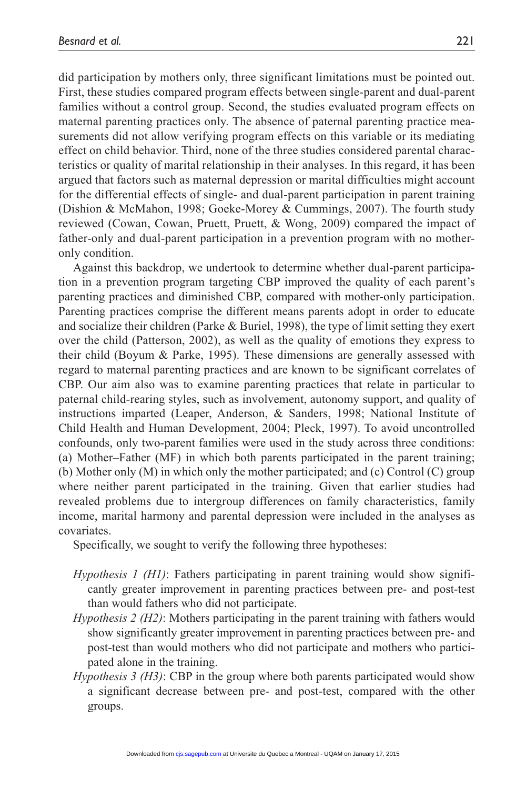did participation by mothers only, three significant limitations must be pointed out. First, these studies compared program effects between single-parent and dual-parent families without a control group. Second, the studies evaluated program effects on maternal parenting practices only. The absence of paternal parenting practice measurements did not allow verifying program effects on this variable or its mediating effect on child behavior. Third, none of the three studies considered parental characteristics or quality of marital relationship in their analyses. In this regard, it has been argued that factors such as maternal depression or marital difficulties might account for the differential effects of single- and dual-parent participation in parent training (Dishion & McMahon, 1998; Goeke-Morey & Cummings, 2007). The fourth study reviewed (Cowan, Cowan, Pruett, Pruett, & Wong, 2009) compared the impact of father-only and dual-parent participation in a prevention program with no motheronly condition.

Against this backdrop, we undertook to determine whether dual-parent participation in a prevention program targeting CBP improved the quality of each parent's parenting practices and diminished CBP, compared with mother-only participation. Parenting practices comprise the different means parents adopt in order to educate and socialize their children (Parke & Buriel, 1998), the type of limit setting they exert over the child (Patterson, 2002), as well as the quality of emotions they express to their child (Boyum & Parke, 1995). These dimensions are generally assessed with regard to maternal parenting practices and are known to be significant correlates of CBP. Our aim also was to examine parenting practices that relate in particular to paternal child-rearing styles, such as involvement, autonomy support, and quality of instructions imparted (Leaper, Anderson, & Sanders, 1998; National Institute of Child Health and Human Development, 2004; Pleck, 1997). To avoid uncontrolled confounds, only two-parent families were used in the study across three conditions: (a) Mother–Father (MF) in which both parents participated in the parent training; (b) Mother only (M) in which only the mother participated; and (c) Control (C) group where neither parent participated in the training. Given that earlier studies had revealed problems due to intergroup differences on family characteristics, family income, marital harmony and parental depression were included in the analyses as covariates.

Specifically, we sought to verify the following three hypotheses:

- *Hypothesis 1 (H1)*: Fathers participating in parent training would show significantly greater improvement in parenting practices between pre- and post-test than would fathers who did not participate.
- *Hypothesis 2 (H2)*: Mothers participating in the parent training with fathers would show significantly greater improvement in parenting practices between pre- and post-test than would mothers who did not participate and mothers who participated alone in the training.
- *Hypothesis 3 (H3)*: CBP in the group where both parents participated would show a significant decrease between pre- and post-test, compared with the other groups.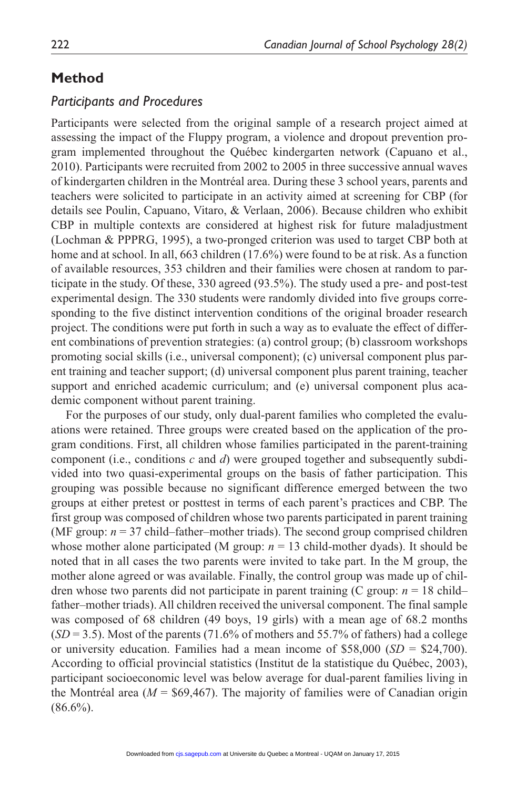## **Method**

### *Participants and Procedures*

Participants were selected from the original sample of a research project aimed at assessing the impact of the Fluppy program, a violence and dropout prevention program implemented throughout the Québec kindergarten network (Capuano et al., 2010). Participants were recruited from 2002 to 2005 in three successive annual waves of kindergarten children in the Montréal area. During these 3 school years, parents and teachers were solicited to participate in an activity aimed at screening for CBP (for details see Poulin, Capuano, Vitaro, & Verlaan, 2006). Because children who exhibit CBP in multiple contexts are considered at highest risk for future maladjustment (Lochman & PPPRG, 1995), a two-pronged criterion was used to target CBP both at home and at school. In all, 663 children (17.6%) were found to be at risk. As a function of available resources, 353 children and their families were chosen at random to participate in the study. Of these, 330 agreed (93.5%). The study used a pre- and post-test experimental design. The 330 students were randomly divided into five groups corresponding to the five distinct intervention conditions of the original broader research project. The conditions were put forth in such a way as to evaluate the effect of different combinations of prevention strategies: (a) control group; (b) classroom workshops promoting social skills (i.e., universal component); (c) universal component plus parent training and teacher support; (d) universal component plus parent training, teacher support and enriched academic curriculum; and (e) universal component plus academic component without parent training.

For the purposes of our study, only dual-parent families who completed the evaluations were retained. Three groups were created based on the application of the program conditions. First, all children whose families participated in the parent-training component (i.e., conditions *c* and *d*) were grouped together and subsequently subdivided into two quasi-experimental groups on the basis of father participation. This grouping was possible because no significant difference emerged between the two groups at either pretest or posttest in terms of each parent's practices and CBP. The first group was composed of children whose two parents participated in parent training (MF group:  $n = 37$  child–father–mother triads). The second group comprised children whose mother alone participated (M group:  $n = 13$  child-mother dyads). It should be noted that in all cases the two parents were invited to take part. In the M group, the mother alone agreed or was available. Finally, the control group was made up of children whose two parents did not participate in parent training (C group: *n* = 18 child– father–mother triads). All children received the universal component. The final sample was composed of 68 children (49 boys, 19 girls) with a mean age of 68.2 months  $(SD = 3.5)$ . Most of the parents (71.6% of mothers and 55.7% of fathers) had a college or university education. Families had a mean income of \$58,000 (*SD* = \$24,700). According to official provincial statistics (Institut de la statistique du Québec, 2003), participant socioeconomic level was below average for dual-parent families living in the Montréal area  $(M = $69,467)$ . The majority of families were of Canadian origin  $(86.6\%)$ .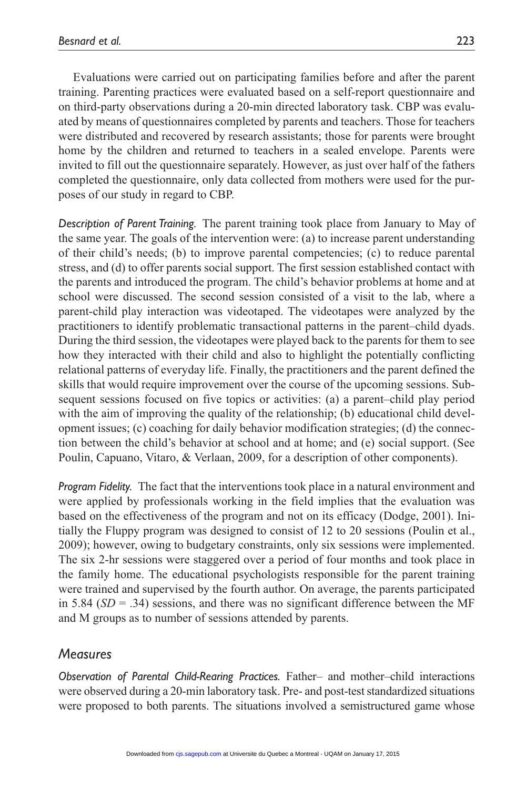Evaluations were carried out on participating families before and after the parent training. Parenting practices were evaluated based on a self-report questionnaire and on third-party observations during a 20-min directed laboratory task. CBP was evaluated by means of questionnaires completed by parents and teachers. Those for teachers were distributed and recovered by research assistants; those for parents were brought home by the children and returned to teachers in a sealed envelope. Parents were invited to fill out the questionnaire separately. However, as just over half of the fathers completed the questionnaire, only data collected from mothers were used for the purposes of our study in regard to CBP.

*Description of Parent Training.* The parent training took place from January to May of the same year. The goals of the intervention were: (a) to increase parent understanding of their child's needs; (b) to improve parental competencies; (c) to reduce parental stress, and (d) to offer parents social support. The first session established contact with the parents and introduced the program. The child's behavior problems at home and at school were discussed. The second session consisted of a visit to the lab, where a parent-child play interaction was videotaped. The videotapes were analyzed by the practitioners to identify problematic transactional patterns in the parent–child dyads. During the third session, the videotapes were played back to the parents for them to see how they interacted with their child and also to highlight the potentially conflicting relational patterns of everyday life. Finally, the practitioners and the parent defined the skills that would require improvement over the course of the upcoming sessions. Subsequent sessions focused on five topics or activities: (a) a parent–child play period with the aim of improving the quality of the relationship; (b) educational child development issues; (c) coaching for daily behavior modification strategies; (d) the connection between the child's behavior at school and at home; and (e) social support. (See Poulin, Capuano, Vitaro, & Verlaan, 2009, for a description of other components).

*Program Fidelity.* The fact that the interventions took place in a natural environment and were applied by professionals working in the field implies that the evaluation was based on the effectiveness of the program and not on its efficacy (Dodge, 2001). Initially the Fluppy program was designed to consist of 12 to 20 sessions (Poulin et al., 2009); however, owing to budgetary constraints, only six sessions were implemented. The six 2-hr sessions were staggered over a period of four months and took place in the family home. The educational psychologists responsible for the parent training were trained and supervised by the fourth author. On average, the parents participated in 5.84  $(SD = .34)$  sessions, and there was no significant difference between the MF and M groups as to number of sessions attended by parents.

### *Measures*

*Observation of Parental Child-Rearing Practices.* Father– and mother–child interactions were observed during a 20-min laboratory task. Pre- and post-test standardized situations were proposed to both parents. The situations involved a semistructured game whose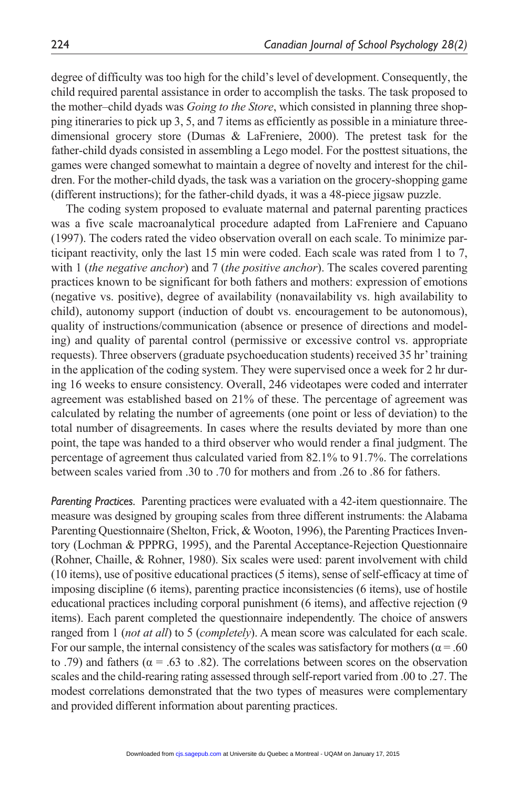degree of difficulty was too high for the child's level of development. Consequently, the child required parental assistance in order to accomplish the tasks. The task proposed to the mother–child dyads was *Going to the Store*, which consisted in planning three shopping itineraries to pick up 3, 5, and 7 items as efficiently as possible in a miniature threedimensional grocery store (Dumas & LaFreniere, 2000). The pretest task for the father-child dyads consisted in assembling a Lego model. For the posttest situations, the games were changed somewhat to maintain a degree of novelty and interest for the children. For the mother-child dyads, the task was a variation on the grocery-shopping game (different instructions); for the father-child dyads, it was a 48-piece jigsaw puzzle.

The coding system proposed to evaluate maternal and paternal parenting practices was a five scale macroanalytical procedure adapted from LaFreniere and Capuano (1997). The coders rated the video observation overall on each scale. To minimize participant reactivity, only the last 15 min were coded. Each scale was rated from 1 to 7, with 1 (*the negative anchor*) and 7 (*the positive anchor*). The scales covered parenting practices known to be significant for both fathers and mothers: expression of emotions (negative vs. positive), degree of availability (nonavailability vs. high availability to child), autonomy support (induction of doubt vs. encouragement to be autonomous), quality of instructions/communication (absence or presence of directions and modeling) and quality of parental control (permissive or excessive control vs. appropriate requests). Three observers (graduate psychoeducation students) received 35 hr' training in the application of the coding system. They were supervised once a week for 2 hr during 16 weeks to ensure consistency. Overall, 246 videotapes were coded and interrater agreement was established based on 21% of these. The percentage of agreement was calculated by relating the number of agreements (one point or less of deviation) to the total number of disagreements. In cases where the results deviated by more than one point, the tape was handed to a third observer who would render a final judgment. The percentage of agreement thus calculated varied from 82.1% to 91.7%. The correlations between scales varied from .30 to .70 for mothers and from .26 to .86 for fathers.

*Parenting Practices.* Parenting practices were evaluated with a 42-item questionnaire. The measure was designed by grouping scales from three different instruments: the Alabama Parenting Questionnaire (Shelton, Frick, & Wooton, 1996), the Parenting Practices Inventory (Lochman & PPPRG, 1995), and the Parental Acceptance-Rejection Questionnaire (Rohner, Chaille, & Rohner, 1980). Six scales were used: parent involvement with child (10 items), use of positive educational practices (5 items), sense of self-efficacy at time of imposing discipline (6 items), parenting practice inconsistencies (6 items), use of hostile educational practices including corporal punishment (6 items), and affective rejection (9 items). Each parent completed the questionnaire independently. The choice of answers ranged from 1 (*not at all*) to 5 (*completely*). A mean score was calculated for each scale. For our sample, the internal consistency of the scales was satisfactory for mothers ( $\alpha$  = .60) to .79) and fathers ( $\alpha$  = .63 to .82). The correlations between scores on the observation scales and the child-rearing rating assessed through self-report varied from .00 to .27. The modest correlations demonstrated that the two types of measures were complementary and provided different information about parenting practices.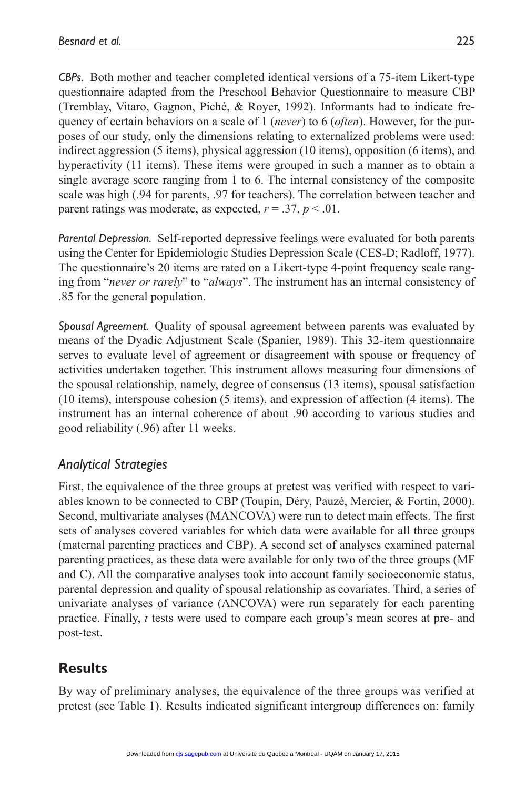*CBPs.* Both mother and teacher completed identical versions of a 75-item Likert-type questionnaire adapted from the Preschool Behavior Questionnaire to measure CBP (Tremblay, Vitaro, Gagnon, Piché, & Royer, 1992). Informants had to indicate frequency of certain behaviors on a scale of 1 (*never*) to 6 (*often*). However, for the purposes of our study, only the dimensions relating to externalized problems were used: indirect aggression (5 items), physical aggression (10 items), opposition (6 items), and hyperactivity (11 items). These items were grouped in such a manner as to obtain a single average score ranging from 1 to 6. The internal consistency of the composite scale was high (.94 for parents, .97 for teachers). The correlation between teacher and parent ratings was moderate, as expected, *r* = .37, *p* < .01.

*Parental Depression.* Self-reported depressive feelings were evaluated for both parents using the Center for Epidemiologic Studies Depression Scale (CES-D; Radloff, 1977). The questionnaire's 20 items are rated on a Likert-type 4-point frequency scale ranging from "*never or rarely*" to "*always*". The instrument has an internal consistency of .85 for the general population.

*Spousal Agreement.* Quality of spousal agreement between parents was evaluated by means of the Dyadic Adjustment Scale (Spanier, 1989). This 32-item questionnaire serves to evaluate level of agreement or disagreement with spouse or frequency of activities undertaken together. This instrument allows measuring four dimensions of the spousal relationship, namely, degree of consensus (13 items), spousal satisfaction (10 items), interspouse cohesion (5 items), and expression of affection (4 items). The instrument has an internal coherence of about .90 according to various studies and good reliability (.96) after 11 weeks.

# *Analytical Strategies*

First, the equivalence of the three groups at pretest was verified with respect to variables known to be connected to CBP (Toupin, Déry, Pauzé, Mercier, & Fortin, 2000). Second, multivariate analyses (MANCOVA) were run to detect main effects. The first sets of analyses covered variables for which data were available for all three groups (maternal parenting practices and CBP). A second set of analyses examined paternal parenting practices, as these data were available for only two of the three groups (MF and C). All the comparative analyses took into account family socioeconomic status, parental depression and quality of spousal relationship as covariates. Third, a series of univariate analyses of variance (ANCOVA) were run separately for each parenting practice. Finally, *t* tests were used to compare each group's mean scores at pre- and post-test.

# **Results**

By way of preliminary analyses, the equivalence of the three groups was verified at pretest (see Table 1). Results indicated significant intergroup differences on: family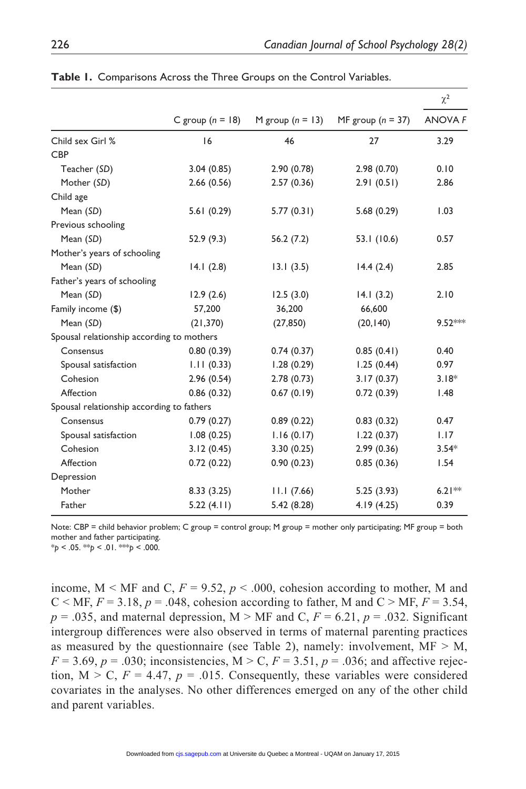|                                           |                    |                    |                     | $\chi^2$       |
|-------------------------------------------|--------------------|--------------------|---------------------|----------------|
|                                           | C group $(n = 18)$ | M group $(n = 13)$ | MF group $(n = 37)$ | <b>ANOVA F</b> |
| Child sex Girl %<br><b>CBP</b>            | 16                 | 46                 | 27                  | 3.29           |
| Teacher (SD)                              | 3.04(0.85)         | 2.90(0.78)         | 2.98(0.70)          | 0.10           |
| Mother (SD)                               | 2.66(0.56)         | 2.57(0.36)         | 2.91(0.51)          | 2.86           |
| Child age                                 |                    |                    |                     |                |
| Mean (SD)                                 | 5.61(0.29)         | 5.77(0.31)         | 5.68(0.29)          | 1.03           |
| Previous schooling                        |                    |                    |                     |                |
| Mean (SD)                                 | 52.9(9.3)          | 56.2(7.2)          | 53.1 (10.6)         | 0.57           |
| Mother's years of schooling               |                    |                    |                     |                |
| Mean (SD)                                 | 14.1(2.8)          | 13.1(3.5)          | 14.4(2.4)           | 2.85           |
| Father's years of schooling               |                    |                    |                     |                |
| Mean (SD)                                 | 12.9(2.6)          | 12.5(3.0)          | 14.1(3.2)           | 2.10           |
| Family income (\$)                        | 57,200             | 36,200             | 66,600              |                |
| Mean (SD)                                 | (21, 370)          | (27, 850)          | (20, 140)           | 9.52***        |
| Spousal relationship according to mothers |                    |                    |                     |                |
| Consensus                                 | 0.80(0.39)         | 0.74(0.37)         | 0.85(0.41)          | 0.40           |
| Spousal satisfaction                      | 1.11(0.33)         | 1.28(0.29)         | 1.25(0.44)          | 0.97           |
| Cohesion                                  | 2.96(0.54)         | 2.78(0.73)         | 3.17(0.37)          | $3.18*$        |
| Affection                                 | 0.86(0.32)         | 0.67(0.19)         | 0.72(0.39)          | 1.48           |
| Spousal relationship according to fathers |                    |                    |                     |                |
| Consensus                                 | 0.79(0.27)         | 0.89(0.22)         | 0.83(0.32)          | 0.47           |
| Spousal satisfaction                      | 1.08(0.25)         | 1.16(0.17)         | 1.22(0.37)          | 1.17           |
| Cohesion                                  | 3.12(0.45)         | 3.30(0.25)         | 2.99(0.36)          | $3.54*$        |
| Affection                                 | 0.72(0.22)         | 0.90(0.23)         | 0.85(0.36)          | 1.54           |
| Depression                                |                    |                    |                     |                |
| Mother                                    | 8.33(3.25)         | 11.1(7.66)         | 5.25(3.93)          | $6.21**$       |
| Father                                    | 5.22(4.11)         | 5.42(8.28)         | 4.19(4.25)          | 0.39           |

**Table 1.** Comparisons Across the Three Groups on the Control Variables.

Note: CBP = child behavior problem; C group = control group; M group = mother only participating; MF group = both mother and father participating.

\**p* < .05. \*\**p* < .01. \*\*\**p* < .000.

income,  $M \le MF$  and  $C, F = 9.52, p \le .000$ , cohesion according to mother, M and  $C <$  MF,  $F = 3.18$ ,  $p = .048$ , cohesion according to father, M and  $C >$  MF,  $F = 3.54$ ,  $p = .035$ , and maternal depression,  $M > MF$  and C,  $F = 6.21$ ,  $p = .032$ . Significant intergroup differences were also observed in terms of maternal parenting practices as measured by the questionnaire (see Table 2), namely: involvement,  $MF > M$ ,  $F = 3.69$ ,  $p = .030$ ; inconsistencies,  $M > C$ ,  $F = 3.51$ ,  $p = .036$ ; and affective rejection,  $M > C$ ,  $F = 4.47$ ,  $p = .015$ . Consequently, these variables were considered covariates in the analyses. No other differences emerged on any of the other child and parent variables.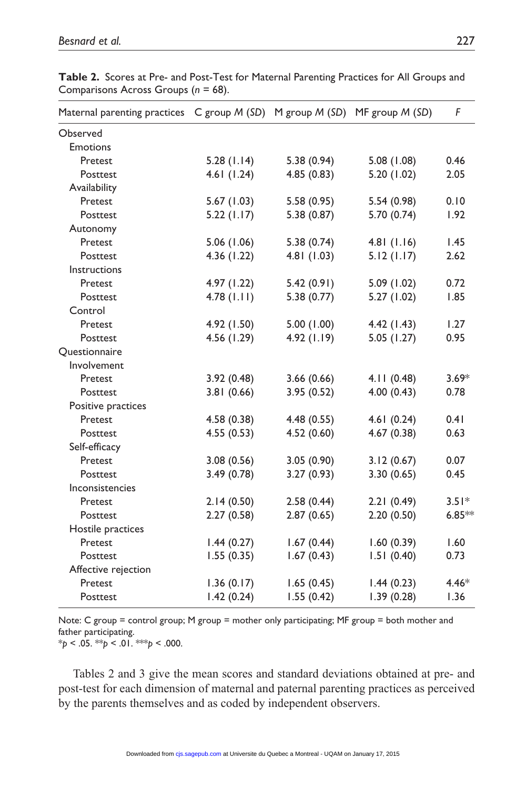| Maternal parenting practices C group M (SD) M group M (SD) MF group M (SD) |               |            |            | F         |
|----------------------------------------------------------------------------|---------------|------------|------------|-----------|
| Observed                                                                   |               |            |            |           |
| <b>Emotions</b>                                                            |               |            |            |           |
| Pretest                                                                    | 5.28(1.14)    | 5.38(0.94) | 5.08(1.08) | 0.46      |
| Posttest                                                                   | 4.61(1.24)    | 4.85(0.83) | 5.20(1.02) | 2.05      |
| Availability                                                               |               |            |            |           |
| Pretest                                                                    | 5.67(1.03)    | 5.58(0.95) | 5.54(0.98) | 0.10      |
| Posttest                                                                   | 5.22(1.17)    | 5.38(0.87) | 5.70(0.74) | 1.92      |
| Autonomy                                                                   |               |            |            |           |
| Pretest                                                                    | 5.06(1.06)    | 5.38(0.74) | 4.81(1.16) | 1.45      |
| Posttest                                                                   | 4.36(1.22)    | 4.81(1.03) | 5.12(1.17) | 2.62      |
| Instructions                                                               |               |            |            |           |
| Pretest                                                                    | 4.97(1.22)    | 5.42(0.91) | 5.09(1.02) | 0.72      |
| Posttest                                                                   | $4.78$ (1.11) | 5.38(0.77) | 5.27(1.02) | 1.85      |
| Control                                                                    |               |            |            |           |
| Pretest                                                                    | 4.92 (1.50)   | 5.00(1.00) | 4.42(1.43) | 1.27      |
| Posttest                                                                   | 4.56(1.29)    | 4.92(1.19) | 5.05(1.27) | 0.95      |
| Questionnaire                                                              |               |            |            |           |
| Involvement                                                                |               |            |            |           |
| Pretest                                                                    | 3.92(0.48)    | 3.66(0.66) | 4.11(0.48) | $3.69*$   |
| Posttest                                                                   | 3.81(0.66)    | 3.95(0.52) | 4.00(0.43) | 0.78      |
| Positive practices                                                         |               |            |            |           |
| Pretest                                                                    | 4.58(0.38)    | 4.48(0.55) | 4.61(0.24) | 0.41      |
| Posttest                                                                   | 4.55(0.53)    | 4.52(0.60) | 4.67(0.38) | 0.63      |
| Self-efficacy                                                              |               |            |            |           |
| Pretest                                                                    | 3.08(0.56)    | 3.05(0.90) | 3.12(0.67) | 0.07      |
| Posttest                                                                   | 3.49(0.78)    | 3.27(0.93) | 3.30(0.65) | 0.45      |
| Inconsistencies                                                            |               |            |            |           |
| Pretest                                                                    | 2.14(0.50)    | 2.58(0.44) | 2.21(0.49) | $3.51*$   |
| Posttest                                                                   | 2.27(0.58)    | 2.87(0.65) | 2.20(0.50) | $6.85***$ |
| Hostile practices                                                          |               |            |            |           |
| Pretest                                                                    | 1.44(0.27)    | 1.67(0.44) | 1.60(0.39) | 1.60      |
| Posttest                                                                   | 1.55(0.35)    | 1.67(0.43) | 1.51(0.40) | 0.73      |
| Affective rejection                                                        |               |            |            |           |
| Pretest                                                                    | 1.36(0.17)    | 1.65(0.45) | 1.44(0.23) | $4.46*$   |
| Posttest                                                                   | 1.42(0.24)    | 1.55(0.42) | 1.39(0.28) | 1.36      |

**Table 2.** Scores at Pre- and Post-Test for Maternal Parenting Practices for All Groups and Comparisons Across Groups (*n* = 68).

Note: C group = control group; M group = mother only participating; MF group = both mother and father participating.

 $*_{p}$  < .05. \*\**p* < .01. \*\**p* < .000.

Tables 2 and 3 give the mean scores and standard deviations obtained at pre- and post-test for each dimension of maternal and paternal parenting practices as perceived by the parents themselves and as coded by independent observers.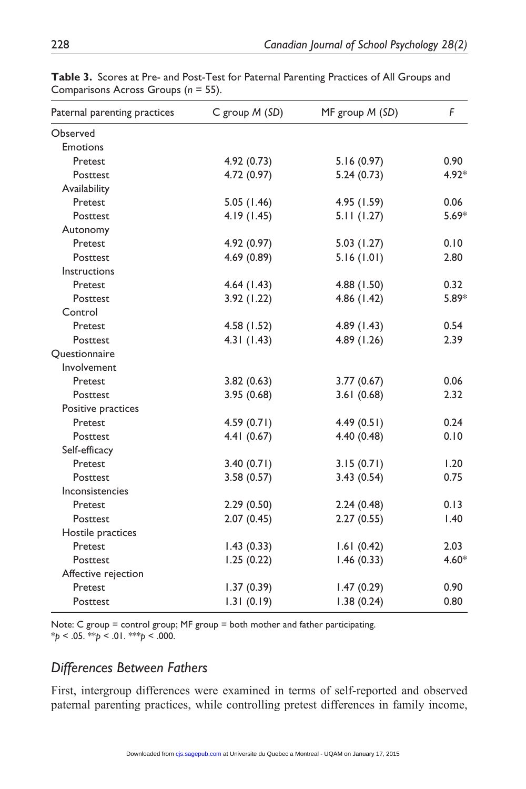| Paternal parenting practices | C group M (SD) | MF group M (SD) | F       |
|------------------------------|----------------|-----------------|---------|
| Observed                     |                |                 |         |
| <b>Emotions</b>              |                |                 |         |
| Pretest                      | 4.92(0.73)     | 5.16(0.97)      | 0.90    |
| Posttest                     | 4.72 (0.97)    | 5.24(0.73)      | $4.92*$ |
| Availability                 |                |                 |         |
| Pretest                      | 5.05(1.46)     | 4.95 (1.59)     | 0.06    |
| Posttest                     | 4.19(1.45)     | 5.11(1.27)      | $5.69*$ |
| Autonomy                     |                |                 |         |
| Pretest                      | 4.92 (0.97)    | 5.03(1.27)      | 0.10    |
| Posttest                     | 4.69(0.89)     | 5.16(1.01)      | 2.80    |
| Instructions                 |                |                 |         |
| Pretest                      | 4.64(1.43)     | 4.88 (1.50)     | 0.32    |
| Posttest                     | 3.92 (1.22)    | 4.86 (1.42)     | 5.89*   |
| Control                      |                |                 |         |
| Pretest                      | 4.58 (1.52)    | 4.89(1.43)      | 0.54    |
| Posttest                     | 4.31(1.43)     | 4.89(1.26)      | 2.39    |
| Questionnaire                |                |                 |         |
| Involvement                  |                |                 |         |
| Pretest                      | 3.82(0.63)     | 3.77(0.67)      | 0.06    |
| Posttest                     | 3.95(0.68)     | 3.61(0.68)      | 2.32    |
| Positive practices           |                |                 |         |
| Pretest                      | 4.59(0.71)     | 4.49(0.51)      | 0.24    |
| Posttest                     | 4.41 (0.67)    | 4.40 (0.48)     | 0.10    |
| Self-efficacy                |                |                 |         |
| Pretest                      | 3.40(0.71)     | 3.15(0.71)      | 1.20    |
| Posttest                     | 3.58(0.57)     | 3.43(0.54)      | 0.75    |
| Inconsistencies              |                |                 |         |
| Pretest                      | 2.29(0.50)     | 2.24(0.48)      | 0.13    |
| Posttest                     | 2.07(0.45)     | 2.27(0.55)      | 1.40    |
| Hostile practices            |                |                 |         |
| Pretest                      | 1.43(0.33)     | 1.61(0.42)      | 2.03    |
| Posttest                     | 1.25(0.22)     | 1.46(0.33)      | $4.60*$ |
| Affective rejection          |                |                 |         |
| Pretest                      | 1.37(0.39)     | 1.47(0.29)      | 0.90    |
| Posttest                     | 1.31(0.19)     | 1.38(0.24)      | 0.80    |

**Table 3.** Scores at Pre- and Post-Test for Paternal Parenting Practices of All Groups and Comparisons Across Groups (*n* = 55).

Note: C group = control group; MF group = both mother and father participating. \**p* < .05. \*\**p* < .01. \*\*\**p* < .000.

### *Differences Between Fathers*

First, intergroup differences were examined in terms of self-reported and observed paternal parenting practices, while controlling pretest differences in family income,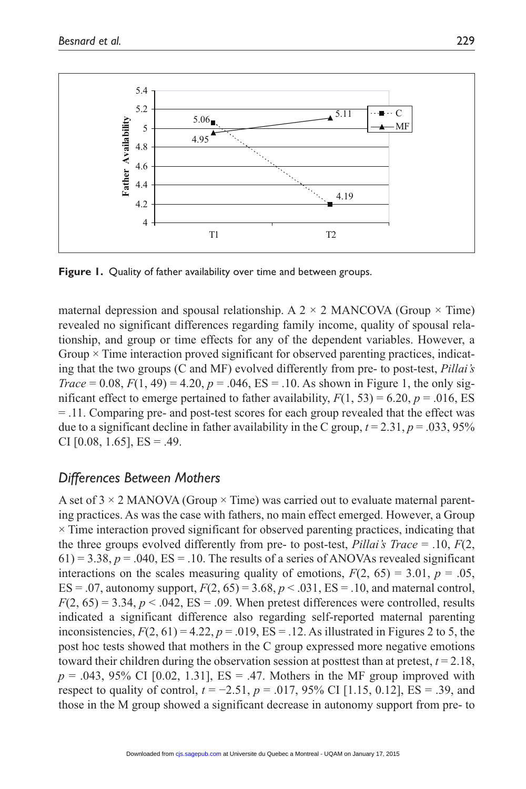

**Figure 1.** Quality of father availability over time and between groups.

maternal depression and spousal relationship. A  $2 \times 2$  MANCOVA (Group  $\times$  Time) revealed no significant differences regarding family income, quality of spousal relationship, and group or time effects for any of the dependent variables. However, a Group × Time interaction proved significant for observed parenting practices, indicating that the two groups (C and MF) evolved differently from pre- to post-test, *Pillai's Trace* = 0.08,  $F(1, 49) = 4.20$ ,  $p = .046$ ,  $ES = .10$ . As shown in Figure 1, the only significant effect to emerge pertained to father availability,  $F(1, 53) = 6.20$ ,  $p = .016$ , ES = .11. Comparing pre- and post-test scores for each group revealed that the effect was due to a significant decline in father availability in the C group,  $t = 2.31$ ,  $p = .033, 95\%$ CI  $[0.08, 1.65]$ , ES = .49.

### *Differences Between Mothers*

A set of  $3 \times 2$  MANOVA (Group  $\times$  Time) was carried out to evaluate maternal parenting practices. As was the case with fathers, no main effect emerged. However, a Group  $\times$  Time interaction proved significant for observed parenting practices, indicating that the three groups evolved differently from pre- to post-test, *Pillai's Trace* = .10, *F*(2,  $61$ ) = 3.38,  $p = .040$ , ES = .10. The results of a series of ANOVAs revealed significant interactions on the scales measuring quality of emotions,  $F(2, 65) = 3.01$ ,  $p = .05$ , ES = .07, autonomy support,  $F(2, 65) = 3.68$ ,  $p < .031$ , ES = .10, and maternal control,  $F(2, 65) = 3.34, p < .042, ES = .09$ . When pretest differences were controlled, results indicated a significant difference also regarding self-reported maternal parenting inconsistencies,  $F(2, 61) = 4.22$ ,  $p = .019$ ,  $ES = .12$ . As illustrated in Figures 2 to 5, the post hoc tests showed that mothers in the C group expressed more negative emotions toward their children during the observation session at posttest than at pretest, *t* = 2.18,  $p = 0.043$ , 95% CI [0.02, 1.31], ES = .47. Mothers in the MF group improved with respect to quality of control,  $t = -2.51$ ,  $p = .017$ , 95% CI [1.15, 0.12], ES = .39, and those in the M group showed a significant decrease in autonomy support from pre- to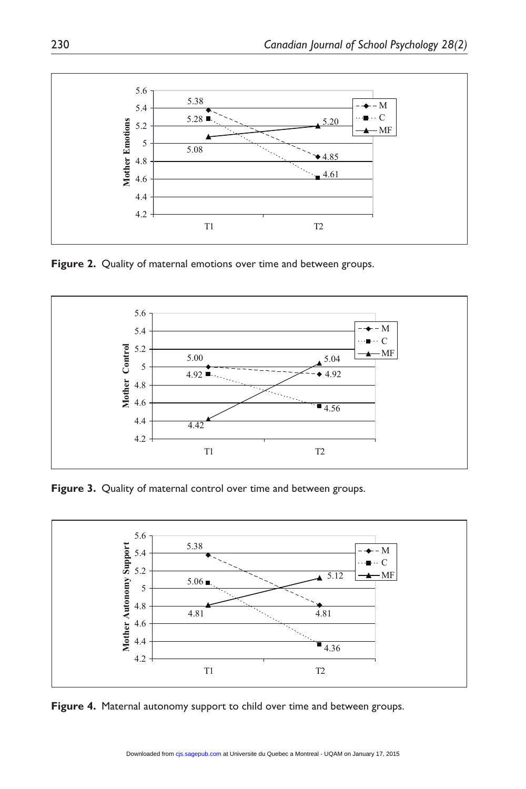

**Figure 2.** Quality of maternal emotions over time and between groups.



**Figure 3.** Quality of maternal control over time and between groups.



**Figure 4.** Maternal autonomy support to child over time and between groups.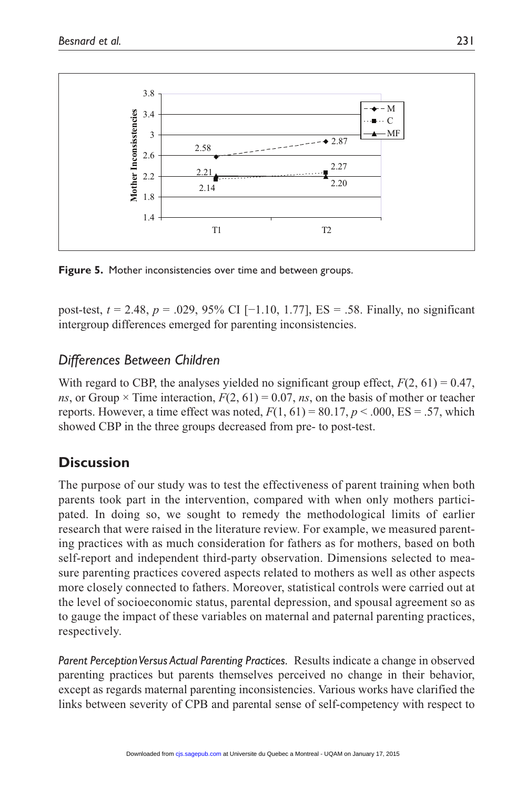

**Figure 5.** Mother inconsistencies over time and between groups.

post-test, *t* = 2.48, *p* = .029, 95% CI [−1.10, 1.77], ES = .58. Finally, no significant intergroup differences emerged for parenting inconsistencies.

# *Differences Between Children*

With regard to CBP, the analyses yielded no significant group effect,  $F(2, 61) = 0.47$ , *ns*, or Group  $\times$  Time interaction,  $F(2, 61) = 0.07$ , *ns*, on the basis of mother or teacher reports. However, a time effect was noted,  $F(1, 61) = 80.17$ ,  $p < .000$ ,  $ES = .57$ , which showed CBP in the three groups decreased from pre- to post-test.

# **Discussion**

The purpose of our study was to test the effectiveness of parent training when both parents took part in the intervention, compared with when only mothers participated. In doing so, we sought to remedy the methodological limits of earlier research that were raised in the literature review. For example, we measured parenting practices with as much consideration for fathers as for mothers, based on both self-report and independent third-party observation. Dimensions selected to measure parenting practices covered aspects related to mothers as well as other aspects more closely connected to fathers. Moreover, statistical controls were carried out at the level of socioeconomic status, parental depression, and spousal agreement so as to gauge the impact of these variables on maternal and paternal parenting practices, respectively.

*Parent Perception Versus Actual Parenting Practices.* Results indicate a change in observed parenting practices but parents themselves perceived no change in their behavior, except as regards maternal parenting inconsistencies. Various works have clarified the links between severity of CPB and parental sense of self-competency with respect to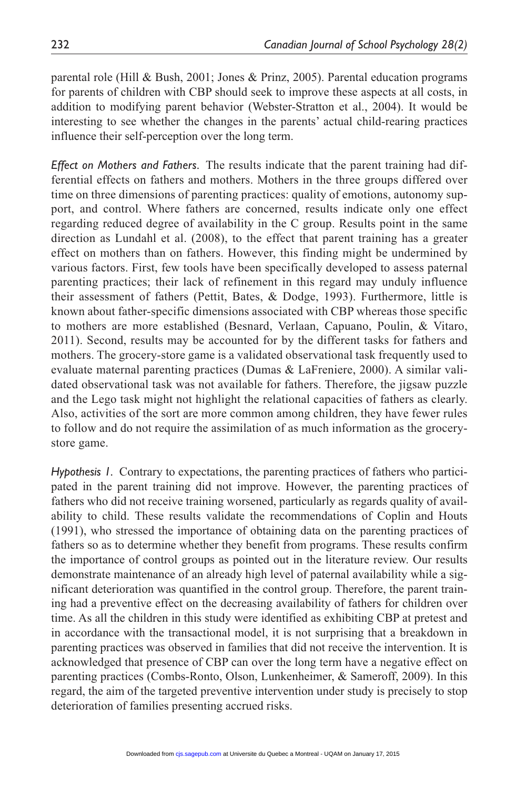parental role (Hill & Bush, 2001; Jones & Prinz, 2005). Parental education programs for parents of children with CBP should seek to improve these aspects at all costs, in addition to modifying parent behavior (Webster-Stratton et al., 2004). It would be interesting to see whether the changes in the parents' actual child-rearing practices influence their self-perception over the long term.

*Effect on Mothers and Fathers.* The results indicate that the parent training had differential effects on fathers and mothers. Mothers in the three groups differed over time on three dimensions of parenting practices: quality of emotions, autonomy support, and control. Where fathers are concerned, results indicate only one effect regarding reduced degree of availability in the C group. Results point in the same direction as Lundahl et al. (2008), to the effect that parent training has a greater effect on mothers than on fathers. However, this finding might be undermined by various factors. First, few tools have been specifically developed to assess paternal parenting practices; their lack of refinement in this regard may unduly influence their assessment of fathers (Pettit, Bates, & Dodge, 1993). Furthermore, little is known about father-specific dimensions associated with CBP whereas those specific to mothers are more established (Besnard, Verlaan, Capuano, Poulin, & Vitaro, 2011). Second, results may be accounted for by the different tasks for fathers and mothers. The grocery-store game is a validated observational task frequently used to evaluate maternal parenting practices (Dumas & LaFreniere, 2000). A similar validated observational task was not available for fathers. Therefore, the jigsaw puzzle and the Lego task might not highlight the relational capacities of fathers as clearly. Also, activities of the sort are more common among children, they have fewer rules to follow and do not require the assimilation of as much information as the grocerystore game.

*Hypothesis 1.* Contrary to expectations, the parenting practices of fathers who participated in the parent training did not improve. However, the parenting practices of fathers who did not receive training worsened, particularly as regards quality of availability to child. These results validate the recommendations of Coplin and Houts (1991), who stressed the importance of obtaining data on the parenting practices of fathers so as to determine whether they benefit from programs. These results confirm the importance of control groups as pointed out in the literature review. Our results demonstrate maintenance of an already high level of paternal availability while a significant deterioration was quantified in the control group. Therefore, the parent training had a preventive effect on the decreasing availability of fathers for children over time. As all the children in this study were identified as exhibiting CBP at pretest and in accordance with the transactional model, it is not surprising that a breakdown in parenting practices was observed in families that did not receive the intervention. It is acknowledged that presence of CBP can over the long term have a negative effect on parenting practices (Combs-Ronto, Olson, Lunkenheimer, & Sameroff, 2009). In this regard, the aim of the targeted preventive intervention under study is precisely to stop deterioration of families presenting accrued risks.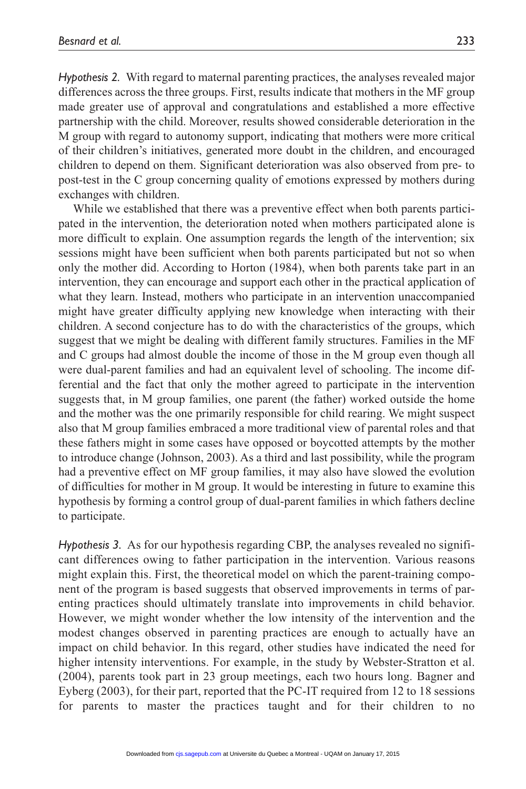*Hypothesis 2.* With regard to maternal parenting practices, the analyses revealed major differences across the three groups. First, results indicate that mothers in the MF group made greater use of approval and congratulations and established a more effective partnership with the child. Moreover, results showed considerable deterioration in the M group with regard to autonomy support, indicating that mothers were more critical of their children's initiatives, generated more doubt in the children, and encouraged children to depend on them. Significant deterioration was also observed from pre- to post-test in the C group concerning quality of emotions expressed by mothers during exchanges with children.

While we established that there was a preventive effect when both parents participated in the intervention, the deterioration noted when mothers participated alone is more difficult to explain. One assumption regards the length of the intervention; six sessions might have been sufficient when both parents participated but not so when only the mother did. According to Horton (1984), when both parents take part in an intervention, they can encourage and support each other in the practical application of what they learn. Instead, mothers who participate in an intervention unaccompanied might have greater difficulty applying new knowledge when interacting with their children. A second conjecture has to do with the characteristics of the groups, which suggest that we might be dealing with different family structures. Families in the MF and C groups had almost double the income of those in the M group even though all were dual-parent families and had an equivalent level of schooling. The income differential and the fact that only the mother agreed to participate in the intervention suggests that, in M group families, one parent (the father) worked outside the home and the mother was the one primarily responsible for child rearing. We might suspect also that M group families embraced a more traditional view of parental roles and that these fathers might in some cases have opposed or boycotted attempts by the mother to introduce change (Johnson, 2003). As a third and last possibility, while the program had a preventive effect on MF group families, it may also have slowed the evolution of difficulties for mother in M group. It would be interesting in future to examine this hypothesis by forming a control group of dual-parent families in which fathers decline to participate.

*Hypothesis 3.* As for our hypothesis regarding CBP, the analyses revealed no significant differences owing to father participation in the intervention. Various reasons might explain this. First, the theoretical model on which the parent-training component of the program is based suggests that observed improvements in terms of parenting practices should ultimately translate into improvements in child behavior. However, we might wonder whether the low intensity of the intervention and the modest changes observed in parenting practices are enough to actually have an impact on child behavior. In this regard, other studies have indicated the need for higher intensity interventions. For example, in the study by Webster-Stratton et al. (2004), parents took part in 23 group meetings, each two hours long. Bagner and Eyberg (2003), for their part, reported that the PC-IT required from 12 to 18 sessions for parents to master the practices taught and for their children to no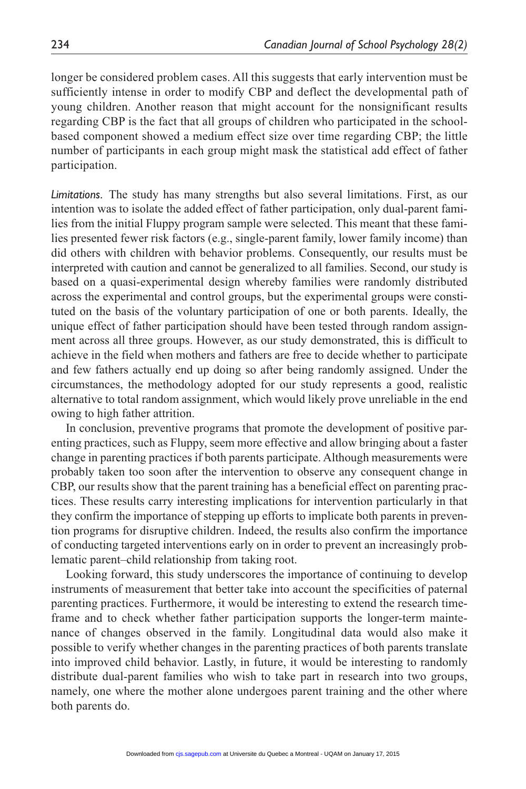longer be considered problem cases. All this suggests that early intervention must be sufficiently intense in order to modify CBP and deflect the developmental path of young children. Another reason that might account for the nonsignificant results regarding CBP is the fact that all groups of children who participated in the schoolbased component showed a medium effect size over time regarding CBP; the little number of participants in each group might mask the statistical add effect of father participation.

*Limitations.* The study has many strengths but also several limitations. First, as our intention was to isolate the added effect of father participation, only dual-parent families from the initial Fluppy program sample were selected. This meant that these families presented fewer risk factors (e.g., single-parent family, lower family income) than did others with children with behavior problems. Consequently, our results must be interpreted with caution and cannot be generalized to all families. Second, our study is based on a quasi-experimental design whereby families were randomly distributed across the experimental and control groups, but the experimental groups were constituted on the basis of the voluntary participation of one or both parents. Ideally, the unique effect of father participation should have been tested through random assignment across all three groups. However, as our study demonstrated, this is difficult to achieve in the field when mothers and fathers are free to decide whether to participate and few fathers actually end up doing so after being randomly assigned. Under the circumstances, the methodology adopted for our study represents a good, realistic alternative to total random assignment, which would likely prove unreliable in the end owing to high father attrition.

In conclusion, preventive programs that promote the development of positive parenting practices, such as Fluppy, seem more effective and allow bringing about a faster change in parenting practices if both parents participate. Although measurements were probably taken too soon after the intervention to observe any consequent change in CBP, our results show that the parent training has a beneficial effect on parenting practices. These results carry interesting implications for intervention particularly in that they confirm the importance of stepping up efforts to implicate both parents in prevention programs for disruptive children. Indeed, the results also confirm the importance of conducting targeted interventions early on in order to prevent an increasingly problematic parent–child relationship from taking root.

Looking forward, this study underscores the importance of continuing to develop instruments of measurement that better take into account the specificities of paternal parenting practices. Furthermore, it would be interesting to extend the research timeframe and to check whether father participation supports the longer-term maintenance of changes observed in the family. Longitudinal data would also make it possible to verify whether changes in the parenting practices of both parents translate into improved child behavior. Lastly, in future, it would be interesting to randomly distribute dual-parent families who wish to take part in research into two groups, namely, one where the mother alone undergoes parent training and the other where both parents do.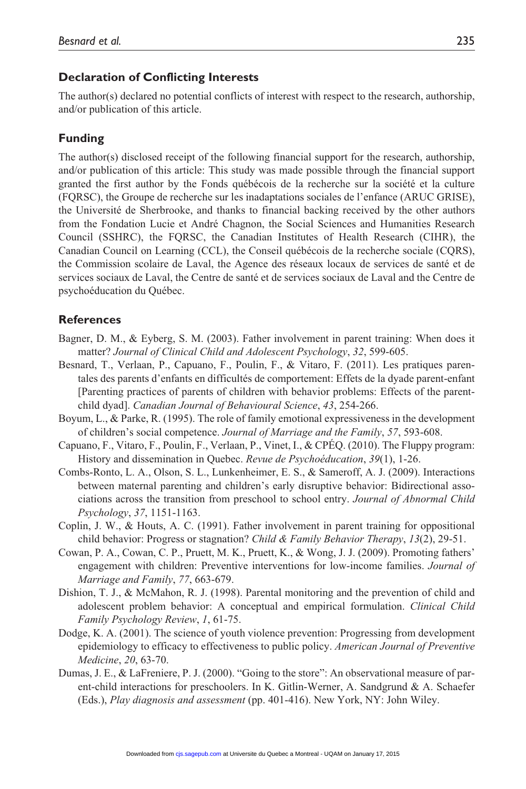### **Declaration of Conflicting Interests**

The author(s) declared no potential conflicts of interest with respect to the research, authorship, and/or publication of this article.

### **Funding**

The author(s) disclosed receipt of the following financial support for the research, authorship, and/or publication of this article: This study was made possible through the financial support granted the first author by the Fonds québécois de la recherche sur la société et la culture (FQRSC), the Groupe de recherche sur les inadaptations sociales de l'enfance (ARUC GRISE), the Université de Sherbrooke, and thanks to financial backing received by the other authors from the Fondation Lucie et André Chagnon, the Social Sciences and Humanities Research Council (SSHRC), the FQRSC, the Canadian Institutes of Health Research (CIHR), the Canadian Council on Learning (CCL), the Conseil québécois de la recherche sociale (CQRS), the Commission scolaire de Laval, the Agence des réseaux locaux de services de santé et de services sociaux de Laval, the Centre de santé et de services sociaux de Laval and the Centre de psychoéducation du Québec.

### **References**

- Bagner, D. M., & Eyberg, S. M. (2003). Father involvement in parent training: When does it matter? *Journal of Clinical Child and Adolescent Psychology*, *32*, 599-605.
- Besnard, T., Verlaan, P., Capuano, F., Poulin, F., & Vitaro, F. (2011). Les pratiques parentales des parents d'enfants en difficultés de comportement: Effets de la dyade parent-enfant [Parenting practices of parents of children with behavior problems: Effects of the parentchild dyad]. *Canadian Journal of Behavioural Science*, *43*, 254-266.
- Boyum, L., & Parke, R. (1995). The role of family emotional expressiveness in the development of children's social competence. *Journal of Marriage and the Family*, *57*, 593-608.
- Capuano, F., Vitaro, F., Poulin, F., Verlaan, P., Vinet, I., & CPÉQ. (2010). The Fluppy program: History and dissemination in Quebec. *Revue de Psychoéducation*, *39*(1), 1-26.
- Combs-Ronto, L. A., Olson, S. L., Lunkenheimer, E. S., & Sameroff, A. J. (2009). Interactions between maternal parenting and children's early disruptive behavior: Bidirectional associations across the transition from preschool to school entry. *Journal of Abnormal Child Psychology*, *37*, 1151-1163.
- Coplin, J. W., & Houts, A. C. (1991). Father involvement in parent training for oppositional child behavior: Progress or stagnation? *Child & Family Behavior Therapy*, *13*(2), 29-51.
- Cowan, P. A., Cowan, C. P., Pruett, M. K., Pruett, K., & Wong, J. J. (2009). Promoting fathers' engagement with children: Preventive interventions for low-income families. *Journal of Marriage and Family*, *77*, 663-679.
- Dishion, T. J., & McMahon, R. J. (1998). Parental monitoring and the prevention of child and adolescent problem behavior: A conceptual and empirical formulation. *Clinical Child Family Psychology Review*, *1*, 61-75.
- Dodge, K. A. (2001). The science of youth violence prevention: Progressing from development epidemiology to efficacy to effectiveness to public policy. *American Journal of Preventive Medicine*, *20*, 63-70.
- Dumas, J. E., & LaFreniere, P. J. (2000). "Going to the store": An observational measure of parent-child interactions for preschoolers. In K. Gitlin-Werner, A. Sandgrund & A. Schaefer (Eds.), *Play diagnosis and assessment* (pp. 401-416). New York, NY: John Wiley.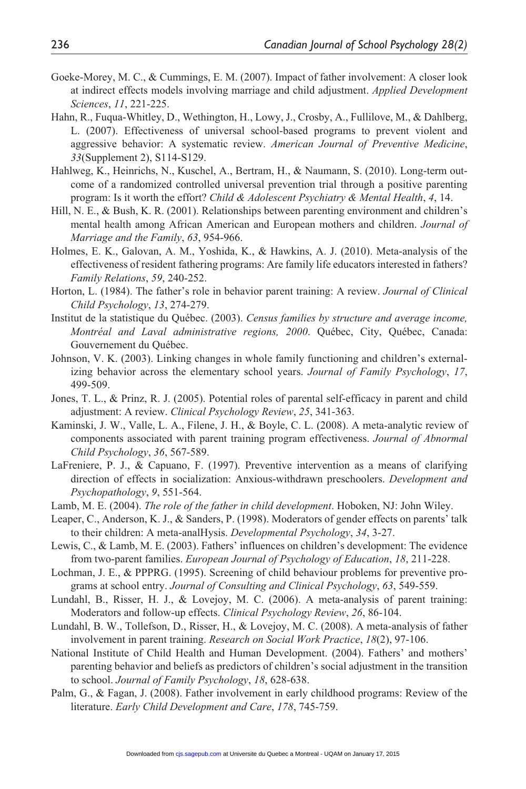- Goeke-Morey, M. C., & Cummings, E. M. (2007). Impact of father involvement: A closer look at indirect effects models involving marriage and child adjustment. *Applied Development Sciences*, *11*, 221-225.
- Hahn, R., Fuqua-Whitley, D., Wethington, H., Lowy, J., Crosby, A., Fullilove, M., & Dahlberg, L. (2007). Effectiveness of universal school-based programs to prevent violent and aggressive behavior: A systematic review. *American Journal of Preventive Medicine*, *33*(Supplement 2), S114-S129.
- Hahlweg, K., Heinrichs, N., Kuschel, A., Bertram, H., & Naumann, S. (2010). Long-term outcome of a randomized controlled universal prevention trial through a positive parenting program: Is it worth the effort? *Child & Adolescent Psychiatry & Mental Health*, *4*, 14.
- Hill, N. E., & Bush, K. R. (2001). Relationships between parenting environment and children's mental health among African American and European mothers and children. *Journal of Marriage and the Family*, *63*, 954-966.
- Holmes, E. K., Galovan, A. M., Yoshida, K., & Hawkins, A. J. (2010). Meta-analysis of the effectiveness of resident fathering programs: Are family life educators interested in fathers? *Family Relations*, *59*, 240-252.
- Horton, L. (1984). The father's role in behavior parent training: A review. *Journal of Clinical Child Psychology*, *13*, 274-279.
- Institut de la statistique du Québec. (2003). *Census families by structure and average income, Montréal and Laval administrative regions, 2000*. Québec, City, Québec, Canada: Gouvernement du Québec.
- Johnson, V. K. (2003). Linking changes in whole family functioning and children's externalizing behavior across the elementary school years. *Journal of Family Psychology*, *17*, 499-509.
- Jones, T. L., & Prinz, R. J. (2005). Potential roles of parental self-efficacy in parent and child adjustment: A review. *Clinical Psychology Review*, *25*, 341-363.
- Kaminski, J. W., Valle, L. A., Filene, J. H., & Boyle, C. L. (2008). A meta-analytic review of components associated with parent training program effectiveness. *Journal of Abnormal Child Psychology*, *36*, 567-589.
- LaFreniere, P. J., & Capuano, F. (1997). Preventive intervention as a means of clarifying direction of effects in socialization: Anxious-withdrawn preschoolers. *Development and Psychopathology*, *9*, 551-564.
- Lamb, M. E. (2004). *The role of the father in child development*. Hoboken, NJ: John Wiley.
- Leaper, C., Anderson, K. J., & Sanders, P. (1998). Moderators of gender effects on parents' talk to their children: A meta-analHysis. *Developmental Psychology*, *34*, 3-27.
- Lewis, C., & Lamb, M. E. (2003). Fathers' influences on children's development: The evidence from two-parent families. *European Journal of Psychology of Education*, *18*, 211-228.
- Lochman, J. E., & PPPRG. (1995). Screening of child behaviour problems for preventive programs at school entry. *Journal of Consulting and Clinical Psychology*, *63*, 549-559.
- Lundahl, B., Risser, H. J., & Lovejoy, M. C. (2006). A meta-analysis of parent training: Moderators and follow-up effects. *Clinical Psychology Review*, *26*, 86-104.
- Lundahl, B. W., Tollefson, D., Risser, H., & Lovejoy, M. C. (2008). A meta-analysis of father involvement in parent training. *Research on Social Work Practice*, *18*(2), 97-106.
- National Institute of Child Health and Human Development. (2004). Fathers' and mothers' parenting behavior and beliefs as predictors of children's social adjustment in the transition to school. *Journal of Family Psychology*, *18*, 628-638.
- Palm, G., & Fagan, J. (2008). Father involvement in early childhood programs: Review of the literature. *Early Child Development and Care*, *178*, 745-759.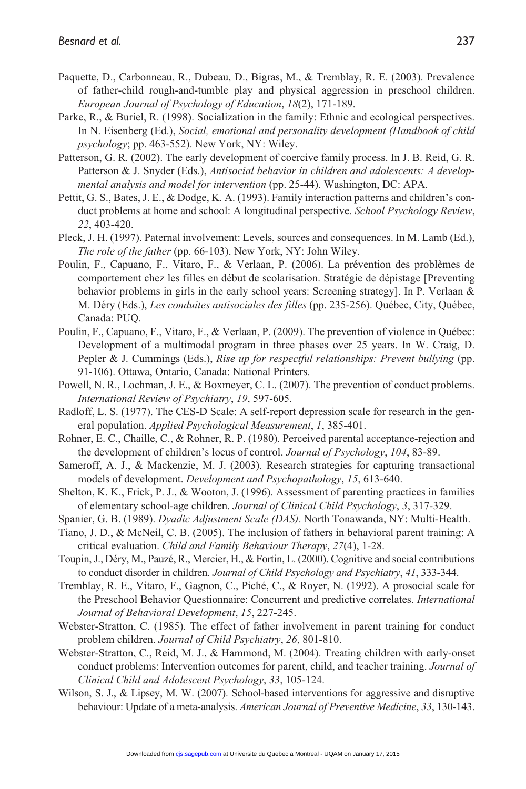- Paquette, D., Carbonneau, R., Dubeau, D., Bigras, M., & Tremblay, R. E. (2003). Prevalence of father-child rough-and-tumble play and physical aggression in preschool children. *European Journal of Psychology of Education*, *18*(2), 171-189.
- Parke, R., & Buriel, R. (1998). Socialization in the family: Ethnic and ecological perspectives. In N. Eisenberg (Ed.), *Social, emotional and personality development (Handbook of child psychology*; pp. 463-552). New York, NY: Wiley.
- Patterson, G. R. (2002). The early development of coercive family process. In J. B. Reid, G. R. Patterson & J. Snyder (Eds.), *Antisocial behavior in children and adolescents: A developmental analysis and model for intervention* (pp. 25-44). Washington, DC: APA.
- Pettit, G. S., Bates, J. E., & Dodge, K. A. (1993). Family interaction patterns and children's conduct problems at home and school: A longitudinal perspective. *School Psychology Review*, *22*, 403-420.
- Pleck, J. H. (1997). Paternal involvement: Levels, sources and consequences. In M. Lamb (Ed.), *The role of the father* (pp. 66-103). New York, NY: John Wiley.
- Poulin, F., Capuano, F., Vitaro, F., & Verlaan, P. (2006). La prévention des problèmes de comportement chez les filles en début de scolarisation. Stratégie de dépistage [Preventing behavior problems in girls in the early school years: Screening strategy]. In P. Verlaan & M. Déry (Eds.), *Les conduites antisociales des filles* (pp. 235-256). Québec, City, Québec, Canada: PUQ.
- Poulin, F., Capuano, F., Vitaro, F., & Verlaan, P. (2009). The prevention of violence in Québec: Development of a multimodal program in three phases over 25 years. In W. Craig, D. Pepler & J. Cummings (Eds.), *Rise up for respectful relationships: Prevent bullying* (pp. 91-106). Ottawa, Ontario, Canada: National Printers.
- Powell, N. R., Lochman, J. E., & Boxmeyer, C. L. (2007). The prevention of conduct problems. *International Review of Psychiatry*, *19*, 597-605.
- Radloff, L. S. (1977). The CES-D Scale: A self-report depression scale for research in the general population. *Applied Psychological Measurement*, *1*, 385-401.
- Rohner, E. C., Chaille, C., & Rohner, R. P. (1980). Perceived parental acceptance-rejection and the development of children's locus of control. *Journal of Psychology*, *104*, 83-89.
- Sameroff, A. J., & Mackenzie, M. J. (2003). Research strategies for capturing transactional models of development. *Development and Psychopathology*, *15*, 613-640.
- Shelton, K. K., Frick, P. J., & Wooton, J. (1996). Assessment of parenting practices in families of elementary school-age children. *Journal of Clinical Child Psychology*, *3*, 317-329.
- Spanier, G. B. (1989). *Dyadic Adjustment Scale (DAS)*. North Tonawanda, NY: Multi-Health.
- Tiano, J. D., & McNeil, C. B. (2005). The inclusion of fathers in behavioral parent training: A critical evaluation. *Child and Family Behaviour Therapy*, *27*(4), 1-28.
- Toupin, J., Déry, M., Pauzé, R., Mercier, H., & Fortin, L. (2000). Cognitive and social contributions to conduct disorder in children. *Journal of Child Psychology and Psychiatry*, *41*, 333-344.
- Tremblay, R. E., Vitaro, F., Gagnon, C., Piché, C., & Royer, N. (1992). A prosocial scale for the Preschool Behavior Questionnaire: Concurrent and predictive correlates. *International Journal of Behavioral Development*, *15*, 227-245.
- Webster-Stratton, C. (1985). The effect of father involvement in parent training for conduct problem children. *Journal of Child Psychiatry*, *26*, 801-810.
- Webster-Stratton, C., Reid, M. J., & Hammond, M. (2004). Treating children with early-onset conduct problems: Intervention outcomes for parent, child, and teacher training. *Journal of Clinical Child and Adolescent Psychology*, *33*, 105-124.
- Wilson, S. J., & Lipsey, M. W. (2007). School-based interventions for aggressive and disruptive behaviour: Update of a meta-analysis. *American Journal of Preventive Medicine*, *33*, 130-143.